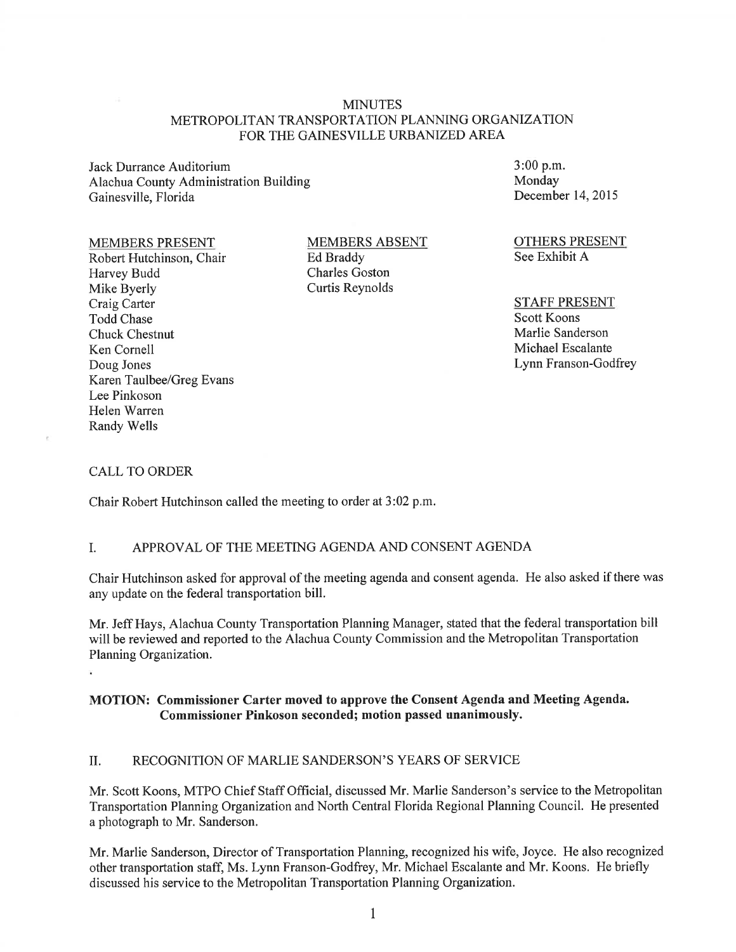#### **MINUTES** METROPOLITAN TRANSPORTATION PLANNING ORGANIZATION FOR THE GAINESVILLE URBANIZED AREA

Jack Durrance Auditorium Alachua County Administration Building Gainesville, Florida

#### MEMBERS PRESENT

Robert Hutchinson, Chair Harvey Budd Mike Byerly Craig Carter Todd Chase Chuck Chestnut Ken Cornell Doug Jones Karen Taulbee/Greg Evans Lee Pinkoson Helen Warren Randy Wells

MEMBERS ABSENT Ed Braddy Charles Goston Curtis Reynolds

3:00 p.m. Monday December 14, 2015

OTHERS PRESENT See Exhibit A

STAFF PRESENT Scott Koons Marlie Sanderson Michael Escalante Lynn Franson-Godfrey

#### CALL TO ORDER

Chair Robert Hutchinson called the meeting to order at 3 :02 p.m.

#### I. APPROVAL OF THE MEETING AGENDA AND CONSENT AGENDA

Chair Hutchinson asked for approval of the meeting agenda and consent agenda. He also asked if there was any update on the federal transportation bill.

Mr. Jeff Hays, Alachua County Transportation Planning Manager, stated that the federal transportation bill will be reviewed and reported to the Alachua County Commission and the Metropolitan Transportation Planning Organization.

#### MOTION: Commissioner Carter moved to approve the Consent Agenda and Meeting Agenda. Commissioner Pinkoson seconded; motion passed unanimously.

#### II. RECOGNITION OF MARLIE SANDERSON'S YEARS OF SERVICE

Mr. Scott Koons, MTPO Chief Staff Official, discussed Mr. Marlie Sanderson's service to the Metropolitan Transportation Planning Organization and North Central Florida Regional Planning Council. He presented a photograph to Mr. Sanderson.

Mr. Marlie Sanderson, Director of Transportation Planning, recognized his wife, Joyce. He also recognized other transportation staff, Ms. Lynn Franson-Godfrey, Mr. Michael Escalante and Mr. Koons. He briefly discussed his service to the Metropolitan Transportation Planning Organization.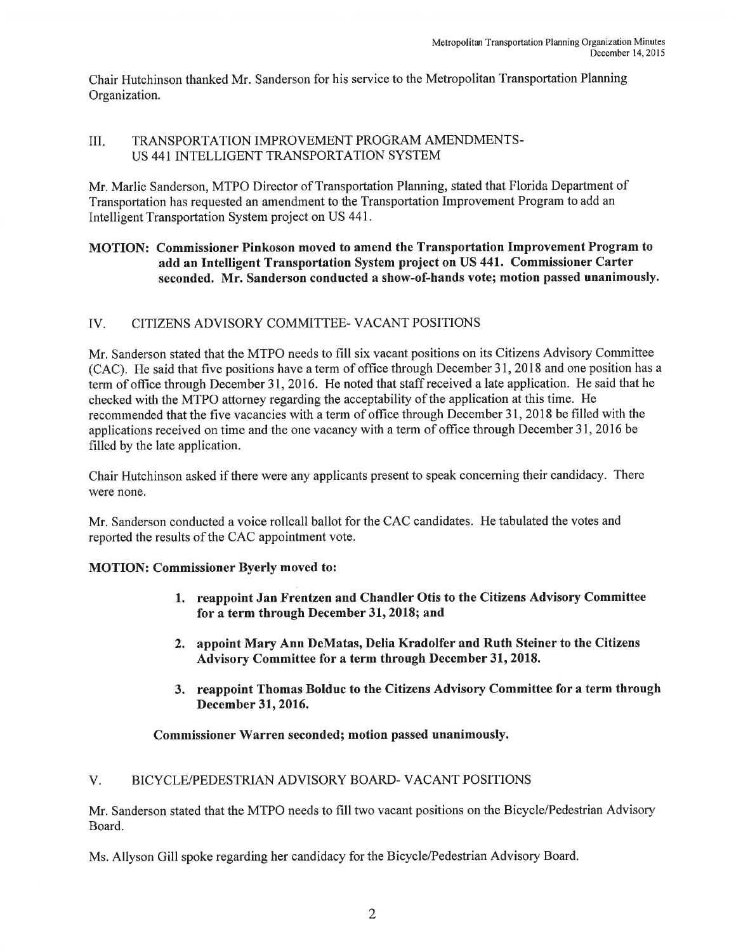Chair Hutchinson thanked Mr. Sanderson for his service to the Metropolitan Transportation Planning Organization.

### III. TRANSPORTATION IMPROVEMENT PROGRAM AMENDMENTS-US 441 INTELLIGENT TRANSPORTATION SYSTEM

Mr. Marlie Sanderson, MTPO Director of Transportation Planning, stated that Florida Department of Transportation has requested an amendment to the Transportation Improvement Program to add an Intelligent Transportation System project on US 441 .

### MOTION: Commissioner Pinkoson moved to amend the Transportation Improvement Program to add an Intelligent Transportation System project on US 441. Commissioner Carter seconded. Mr. Sanderson conducted a show-of-hands vote; motion passed unanimously.

## IV. CITIZENS ADVISORY COMMITTEE-VACANT POSITIONS

Mr. Sanderson stated that the MTPO needs to fill six vacant positions on its Citizens Advisory Committee (CAC). He said that five positions have a term of office through December 31 , 2018 and one position has a term of office through December 31, 2016. He noted that staff received a late application. He said that he checked with the MTPO attorney regarding the acceptability of the application at this time. He recommended that the five vacancies with a term of office through December 31 , 2018 be filled with the applications received on time and the one vacancy with a term of office through December 31, 2016 be filled by the late application.

Chair Hutchinson asked if there were any applicants present to speak concerning their candidacy. There were none.

Mr. Sanderson conducted a voice rollcall ballot for the CAC candidates. He tabulated the votes and reported the results of the CAC appointment vote.

#### MOTION: Commissioner Byerly moved to:

- 1. reappoint Jan Frentzen and Chandler Otis to the Citizens Advisory Committee for a term through December 31, 2018; and
- 2. appoint Mary Ann DeMatas, Delia Kradolfer and Ruth Steiner to the Citizens Advisory Committee for a term through December 31, 2018.
- 3. reappoint Thomas Bolduc to the Citizens Advisory Committee for a term through December 31, 2016.

Commissioner Warren seconded; motion passed unanimously.

## V. BICYCLE/PEDESTRIAN ADVISORY BOARD- VACANT POSITIONS

Mr. Sanderson stated that the MTPO needs to fill two vacant positions on the Bicycle/Pedestrian Advisory Board.

Ms. Allyson Gill spoke regarding her candidacy for the Bicycle/Pedestrian Advisory Board.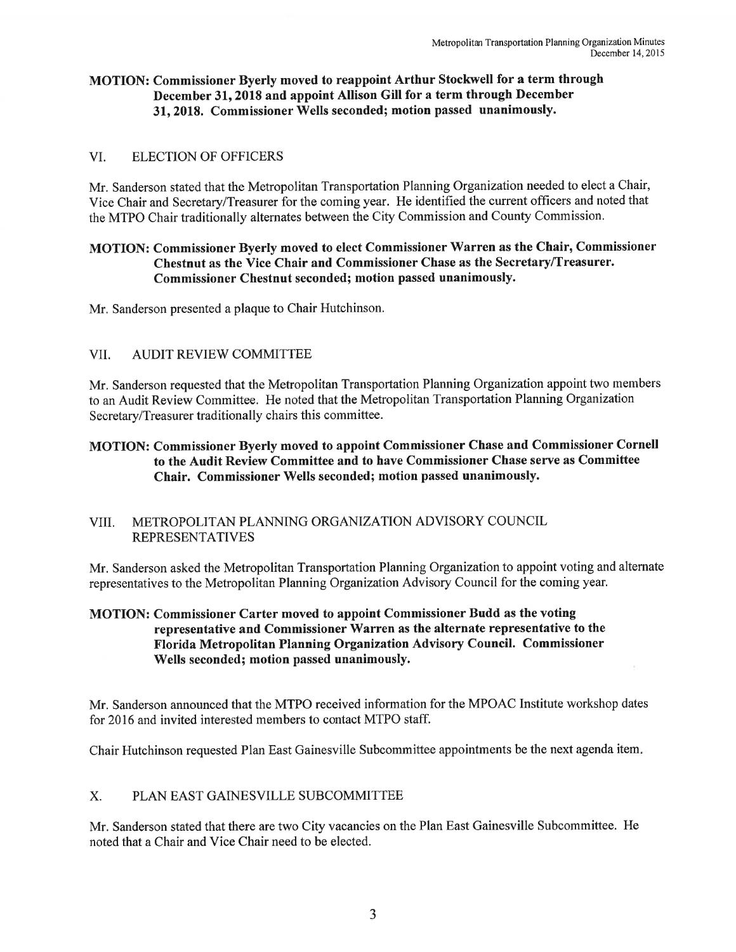### MOTION: Commissioner Byerly moved to reappoint Arthur Stockwell for a term through December 31, 2018 and appoint Allison Gill for a term through December 31, 2018. Commissioner Wells seconded; motion passed unanimously.

### VI. ELECTION OF OFFICERS

Mr. Sanderson stated that the Metropolitan Transportation Planning Organization needed to elect a Chair, Vice Chair and Secretary/Treasurer for the coming year. He identified the current officers and noted that the MTPO Chair traditionally alternates between the City Commission and County Commission.

## MOTION: Commissioner Byerly moved to elect Commissioner Warren as the Chair, Commissioner Chestnut as the Vice Chair and Commissioner Chase as the Secretary/Treasurer. Commissioner Chestnut seconded; motion passed unanimously.

Mr. Sanderson presented a plaque to Chair Hutchinson.

#### VII. AUDIT REVIEW COMMITTEE

Mr. Sanderson requested that the Metropolitan Transportation Planning Organization appoint two members to an Audit Review Committee. He noted that the Metropolitan Transportation Planning Organization Secretary/Treasurer traditionally chairs this committee.

## MOTION: Commissioner Byerly moved to appoint Commissioner Chase and Commissioner Cornell to the Audit Review Committee and to have Commissioner Chase serve as Committee Chair. Commissioner Wells seconded; motion passed unanimously.

#### VIII. METROPOLITAN PLANNING ORGANIZATION ADVISORY COUNCIL REPRESENTATIVES

Mr. Sanderson asked the Metropolitan Transportation Planning Organization to appoint voting and alternate representatives to the Metropolitan Planning Organization Advisory Council for the coming year.

### MOTION: Commissioner Carter moved to appoint Commissioner Budd as the voting representative and Commissioner Warren as the alternate representative to the Florida Metropolitan Planning Organization Advisory Council. Commissioner Wells seconded; motion passed unanimously.

Mr. Sanderson announced that the MTPO received information for the MPOAC Institute workshop dates for 2016 and invited interested members to contact MTPO staff.

Chair Hutchinson requested Plan East Gainesville Subcommittee appointments be the next agenda item.

#### X. PLAN EAST GAINESVILLE SUBCOMMITTEE

Mr. Sanderson stated that there are two City vacancies on the Plan East Gainesville Subcommittee. He noted that a Chair and Vice Chair need to be elected.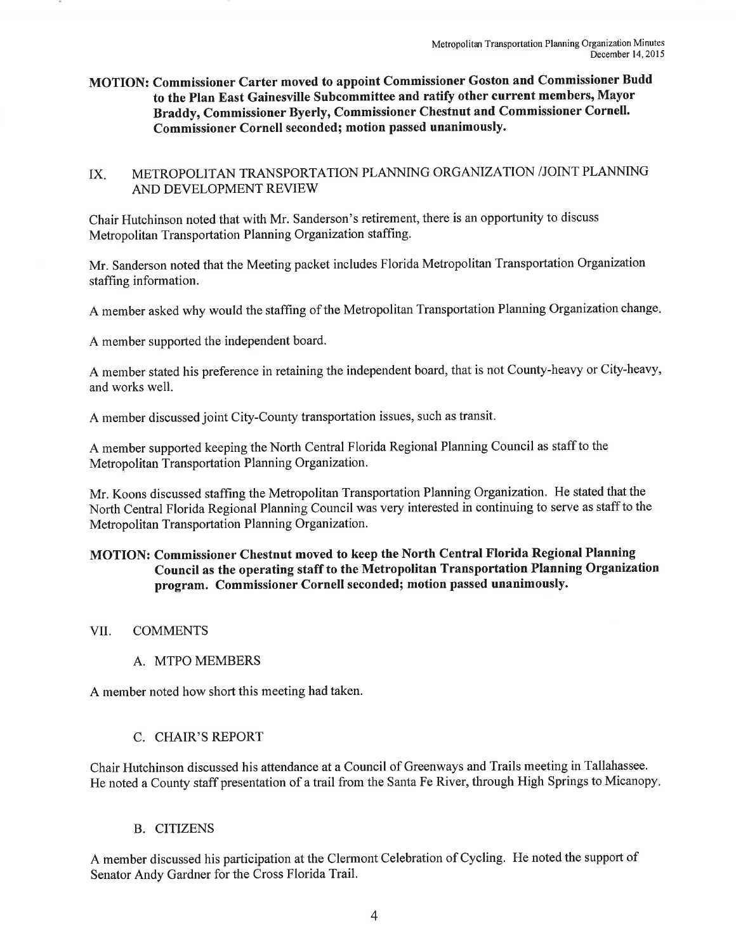MOTION: Commissioner Carter moved to appoint Commissioner Goston and Commissioner Budd to the Plan East Gainesville Subcommittee and ratify other current members, Mayor Braddy, Commissioner Byerly, Commissioner Chestnut and Commissioner Cornell. Commissioner Cornell seconded; motion passed unanimously.

## IX. METROPOLITAN TRANSPORTATION PLANNING ORGANIZATION /JOINT PLANNING AND DEVELOPMENT REVIEW

Chair Hutchinson noted that with Mr. Sanderson's retirement, there is an opportunity to discuss Metropolitan Transportation Planning Organization staffing.

Mr. Sanderson noted that the Meeting packet includes Florida Metropolitan Transportation Organization staffing information.

A member asked why would the staffing of the Metropolitan Transportation Planning Organization change.

A member supported the independent board.

A member stated his preference in retaining the independent board, that is not County-heavy or City-heavy, and works well.

A member discussed joint City-County transportation issues, such as transit.

A member supported keeping the North Central Florida Regional Planning Council as staff to the Metropolitan Transportation Planning Organization.

Mr. Koons discussed staffing the Metropolitan Transportation Planning Organization. He stated that the North Central Florida Regional Planning Council was very interested in continuing to serve as staff to the Metropolitan Transportation Planning Organization.

## MOTION: Commissioner Chestnut moved to keep the North Central Florida Regional Planning Council as the operating staff to the Metropolitan Transportation Planning Organization program. Commissioner Cornell seconded; motion passed unanimously.

VII. COMMENTS

## A. MTPO MEMBERS

A member noted how short this meeting had taken.

## C. CHAIR'S REPORT

Chair Hutchinson discussed his attendance at a Council of Greenways and Trails meeting in Tallahassee. He noted a County staff presentation of a trail from the Santa Fe River, through High Springs to Micanopy.

#### B. CITIZENS

A member discussed his participation at the Clermont Celebration of Cycling. He noted the support of Senator Andy Gardner for the Cross Florida Trail.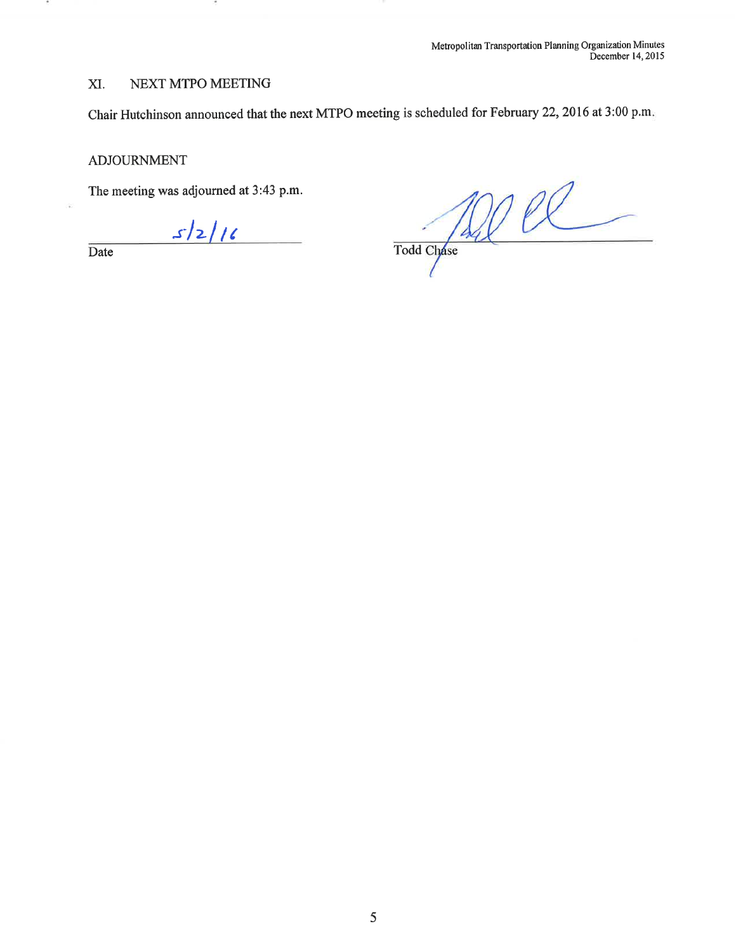# XI. NEXT MTPO MEETING

Chair Hutchinson announced that the next MTPO meeting is scheduled for February 22, 2016 at 3:00 p.m.

#### ADJOURNMENT

The meeting was adjourned at 3 :43 p.m.

 $s/2/16$ 

Date

 $\cdot$ 

 $\frac{1}{\sqrt{2}}$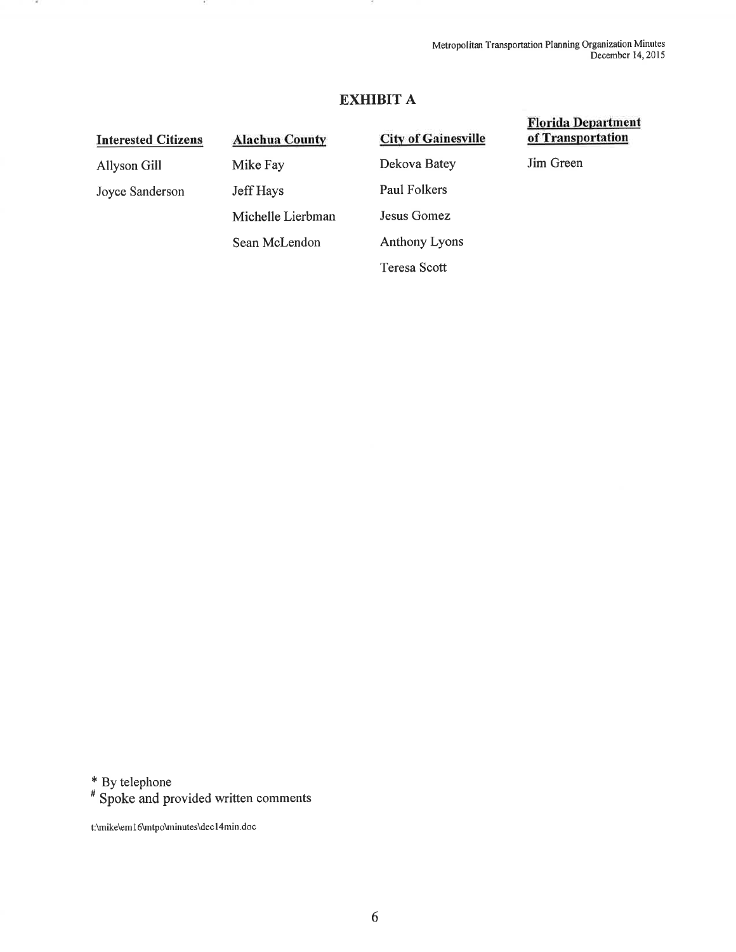## **EXHIBIT A**

## **Interested Citizens**

Allyson Gill Joyce Sanderson

 $\overline{a}$ 

**Alachua County**  Mike Fay Jeff Hays Michelle Lierbman Sean McLendon

**City of Gainesville**  Dekova Batey Paul Folkers Jesus Gomez Anthony Lyons Teresa Scott

#### **Florida Department of Transportation**

Jim Green

\* By telephone

# Spoke and provided written comments

t:\mike\em 16\mtpo\minutes\dec l 4min.doc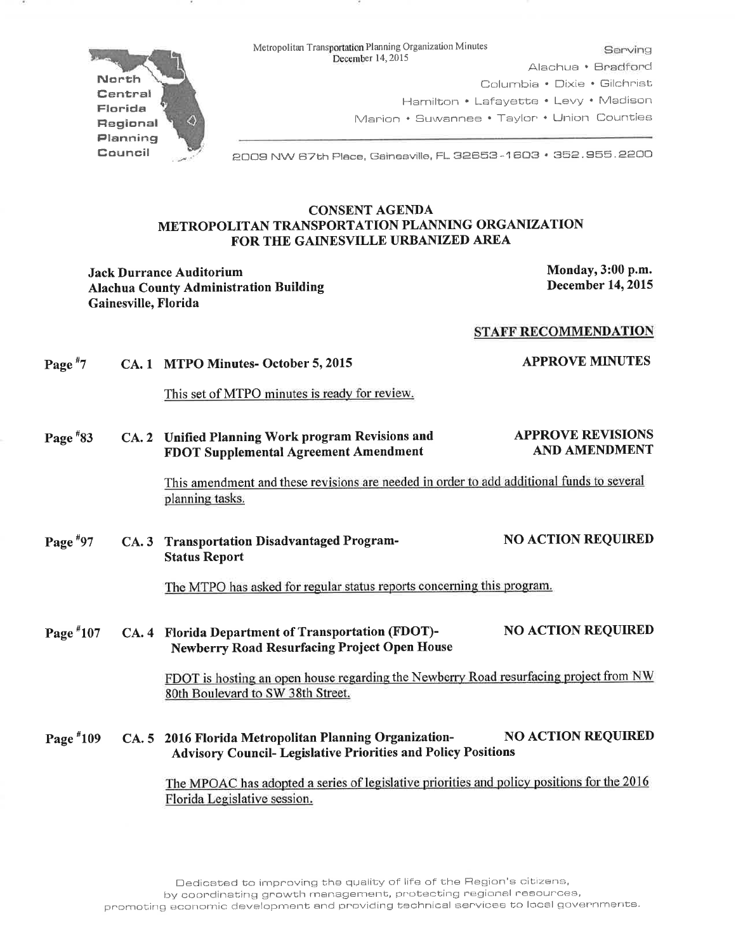

Metropolitan Transportation Planning Organization Minutes<br>
December 14, 2015 Alachua • Bradford Columbia • Dixie • Gilchrist Hamilton • Lafayette • Levy • Madison Marion • Suwannee • Taylor • Union Counties

2009 NW 67th Place, Gainesville, FL 32853 - '1 603 • 352. 955. 2200

#### CONSENT AGENDA METROPOLITAN TRANSPORTATION PLANNING ORGANIZATION FOR THE GAINESVILLE URBANIZED AREA

Jack Durrance Auditorium<br>
Alachua County Administration Building<br>
Monday, 3:00 p.m.<br>
December 14, 2015 Alachua County Administration Building Gainesville, Florida

#### STAFF RECOMMENDATION

| Page $*7$   | CA. 1 MTPO Minutes-October 5, 2015                                                                                             | <b>APPROVE MINUTES</b>                           |
|-------------|--------------------------------------------------------------------------------------------------------------------------------|--------------------------------------------------|
|             | This set of MTPO minutes is ready for review.                                                                                  |                                                  |
| Page $*33$  | CA. 2 Unified Planning Work program Revisions and<br><b>FDOT Supplemental Agreement Amendment</b>                              | <b>APPROVE REVISIONS</b><br><b>AND AMENDMENT</b> |
|             | This amendment and these revisions are needed in order to add additional funds to several<br>planning tasks.                   |                                                  |
| Page $*97$  | CA. 3 Transportation Disadvantaged Program-<br><b>Status Report</b>                                                            | <b>NO ACTION REQUIRED</b>                        |
|             | The MTPO has asked for regular status reports concerning this program.                                                         |                                                  |
| Page $*107$ | CA. 4 Florida Department of Transportation (FDOT)-<br><b>Newberry Road Resurfacing Project Open House</b>                      | <b>NO ACTION REQUIRED</b>                        |
|             | FDOT is hosting an open house regarding the Newberry Road resurfacing project from NW<br>80th Boulevard to SW 38th Street.     |                                                  |
| Page $*109$ | CA. 5 2016 Florida Metropolitan Planning Organization-<br><b>Advisory Council- Legislative Priorities and Policy Positions</b> | <b>NO ACTION REQUIRED</b>                        |
|             | The MPOAC has adopted a series of legislative priorities and policy positions for the $2016$                                   |                                                  |

ne MPOAC has adopted a series of legislative priorities and Florida Legislative session.